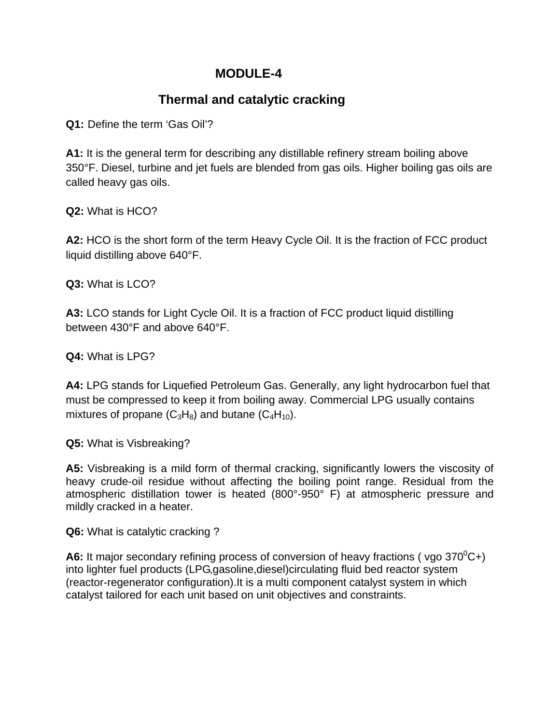## **MODULE-4**

## **Thermal and catalytic cracking**

**Q1:** Define the term 'Gas Oil'?

**A1:** It is the general term for describing any distillable refinery stream boiling above 350°F. Diesel, turbine and jet fuels are blended from gas oils. Higher boiling gas oils are called heavy gas oils.

**Q2:** What is HCO?

**A2:** HCO is the short form of the term Heavy Cycle Oil. It is the fraction of FCC product liquid distilling above 640°F.

**Q3:** What is LCO?

**A3:** LCO stands for Light Cycle Oil. It is a fraction of FCC product liquid distilling between 430°F and above 640°F.

**Q4:** What is LPG?

**A4:** LPG stands for Liquefied Petroleum Gas. Generally, any light hydrocarbon fuel that must be compressed to keep it from boiling away. Commercial LPG usually contains mixtures of propane  $(C_3H_8)$  and butane  $(C_4H_{10})$ .

**Q5:** What is Visbreaking?

**A5:** Visbreaking is a mild form of thermal cracking, significantly lowers the viscosity of heavy crude-oil residue without affecting the boiling point range. Residual from the atmospheric distillation tower is heated (800°-950° F) at atmospheric pressure and mildly cracked in a heater.

**Q6:** What is catalytic cracking ?

A6: It major secondary refining process of conversion of heavy fractions (vgo  $370^0C+$ ) into lighter fuel products (LPG,gasoline,diesel)circulating fluid bed reactor system (reactor-regenerator configuration).It is a multi component catalyst system in which catalyst tailored for each unit based on unit objectives and constraints.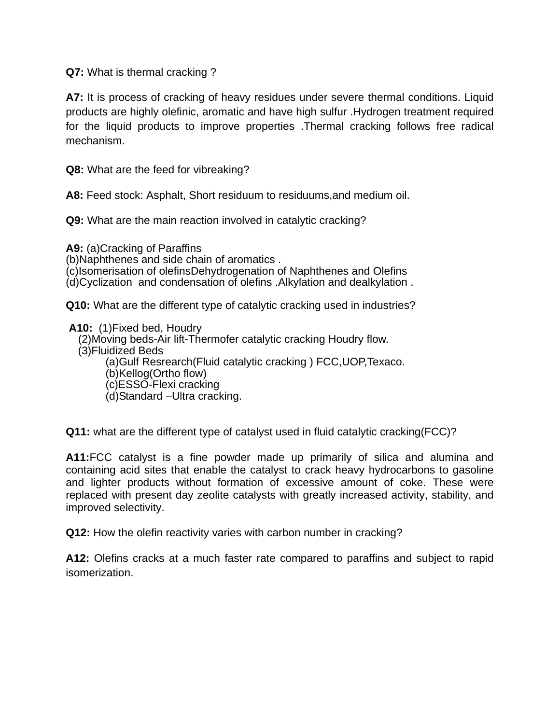**Q7:** What is thermal cracking ?

**A7:** It is process of cracking of heavy residues under severe thermal conditions. Liquid products are highly olefinic, aromatic and have high sulfur .Hydrogen treatment required for the liquid products to improve properties .Thermal cracking follows free radical mechanism.

**Q8:** What are the feed for vibreaking?

**A8:** Feed stock: Asphalt, Short residuum to residuums,and medium oil.

**Q9:** What are the main reaction involved in catalytic cracking?

**A9:** (a)Cracking of Paraffins (b)Naphthenes and side chain of aromatics . (c)Isomerisation of olefinsDehydrogenation of Naphthenes and Olefins (d)Cyclization and condensation of olefins .Alkylation and dealkylation .

**Q10:** What are the different type of catalytic cracking used in industries?

**A10:** (1)Fixed bed, Houdry (2)Moving beds-Air lift-Thermofer catalytic cracking Houdry flow. (3)Fluidized Beds (a)Gulf Resrearch(Fluid catalytic cracking ) FCC,UOP,Texaco. (b)Kellog(Ortho flow) (c)ESSO-Flexi cracking (d)Standard –Ultra cracking.

**Q11:** what are the different type of catalyst used in fluid catalytic cracking(FCC)?

**A11:**FCC catalyst is a fine powder made up primarily of silica and alumina and containing acid sites that enable the catalyst to crack heavy hydrocarbons to gasoline and lighter products without formation of excessive amount of coke. These were replaced with present day zeolite catalysts with greatly increased activity, stability, and improved selectivity.

**Q12:** How the olefin reactivity varies with carbon number in cracking?

**A12:** Olefins cracks at a much faster rate compared to paraffins and subject to rapid isomerization.